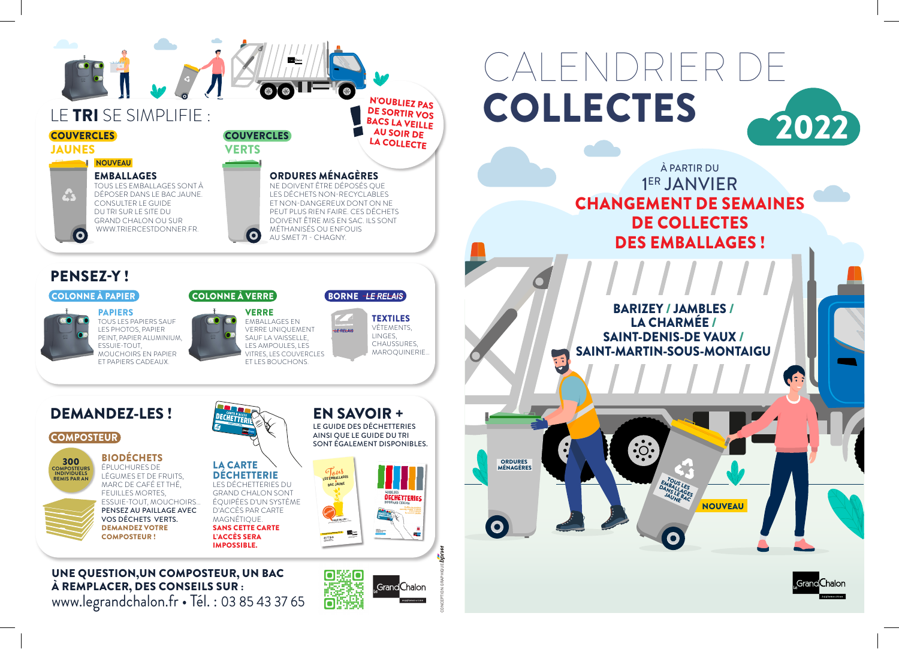